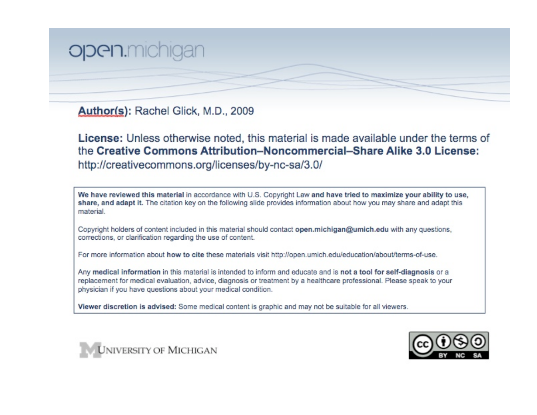## Open.michiga

Author(s): Rachel Glick, M.D., 2009

License: Unless otherwise noted, this material is made available under the terms of the Creative Commons Attribution-Noncommercial-Share Alike 3.0 License: http://creativecommons.org/licenses/by-nc-sa/3.0/

We have reviewed this material in accordance with U.S. Copyright Law and have tried to maximize your ability to use, share, and adapt it. The citation key on the following slide provides information about how you may share and adapt this material.

Copyright holders of content included in this material should contact open.michigan@umich.edu with any questions. corrections, or clarification regarding the use of content.

For more information about how to cite these materials visit http://open.umich.edu/education/about/terms-of-use.

Any medical information in this material is intended to inform and educate and is not a tool for self-diagnosis or a replacement for medical evaluation, advice, diagnosis or treatment by a healthcare professional. Please speak to your physician if you have questions about your medical condition.

Viewer discretion is advised: Some medical content is graphic and may not be suitable for all viewers.